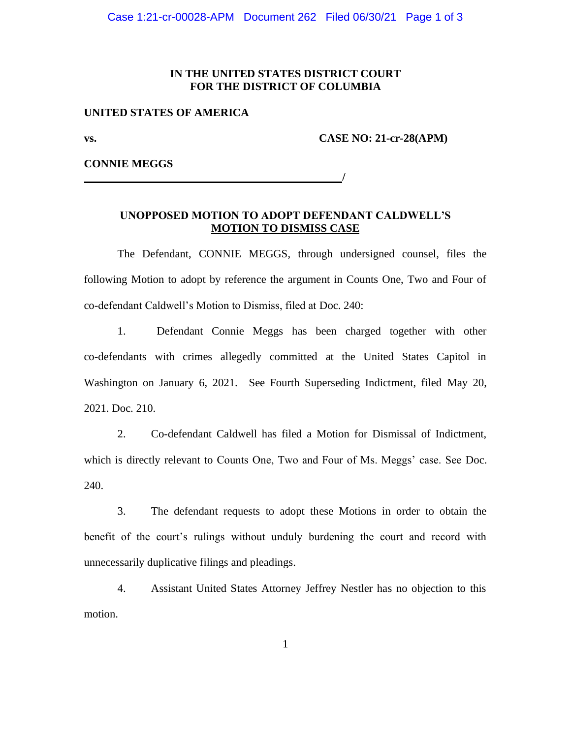### **IN THE UNITED STATES DISTRICT COURT FOR THE DISTRICT OF COLUMBIA**

#### **UNITED STATES OF AMERICA**

 **/**

**vs. CASE NO: 21-cr-28(APM)**

**CONNIE MEGGS**

## **UNOPPOSED MOTION TO ADOPT DEFENDANT CALDWELL'S MOTION TO DISMISS CASE**

The Defendant, CONNIE MEGGS, through undersigned counsel, files the following Motion to adopt by reference the argument in Counts One, Two and Four of co-defendant Caldwell's Motion to Dismiss, filed at Doc. 240:

1. Defendant Connie Meggs has been charged together with other co-defendants with crimes allegedly committed at the United States Capitol in Washington on January 6, 2021. See Fourth Superseding Indictment, filed May 20, 2021. Doc. 210.

2. Co-defendant Caldwell has filed a Motion for Dismissal of Indictment, which is directly relevant to Counts One, Two and Four of Ms. Meggs' case. See Doc. 240.

3. The defendant requests to adopt these Motions in order to obtain the benefit of the court's rulings without unduly burdening the court and record with unnecessarily duplicative filings and pleadings.

4. Assistant United States Attorney Jeffrey Nestler has no objection to this motion.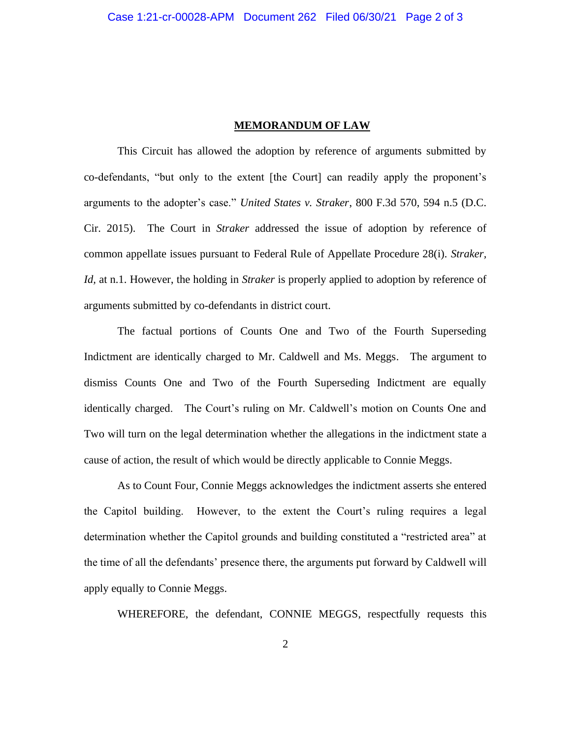#### **MEMORANDUM OF LAW**

This Circuit has allowed the adoption by reference of arguments submitted by co-defendants, "but only to the extent [the Court] can readily apply the proponent's arguments to the adopter's case." *United States v. Straker*, 800 F.3d 570, 594 n.5 (D.C. Cir. 2015). The Court in *Straker* addressed the issue of adoption by reference of common appellate issues pursuant to Federal Rule of Appellate Procedure 28(i). *Straker, Id,* at n.1. However, the holding in *Straker* is properly applied to adoption by reference of arguments submitted by co-defendants in district court.

The factual portions of Counts One and Two of the Fourth Superseding Indictment are identically charged to Mr. Caldwell and Ms. Meggs. The argument to dismiss Counts One and Two of the Fourth Superseding Indictment are equally identically charged. The Court's ruling on Mr. Caldwell's motion on Counts One and Two will turn on the legal determination whether the allegations in the indictment state a cause of action, the result of which would be directly applicable to Connie Meggs.

As to Count Four, Connie Meggs acknowledges the indictment asserts she entered the Capitol building. However, to the extent the Court's ruling requires a legal determination whether the Capitol grounds and building constituted a "restricted area" at the time of all the defendants' presence there, the arguments put forward by Caldwell will apply equally to Connie Meggs.

WHEREFORE, the defendant, CONNIE MEGGS, respectfully requests this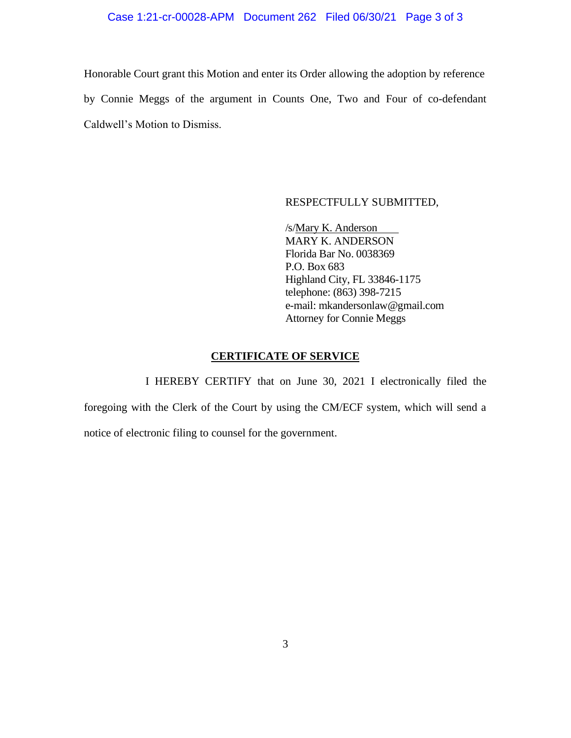#### Case 1:21-cr-00028-APM Document 262 Filed 06/30/21 Page 3 of 3

Honorable Court grant this Motion and enter its Order allowing the adoption by reference by Connie Meggs of the argument in Counts One, Two and Four of co-defendant Caldwell's Motion to Dismiss.

#### RESPECTFULLY SUBMITTED,

/s/Mary K. Anderson MARY K. ANDERSON Florida Bar No. 0038369 P.O. Box 683 Highland City, FL 33846-1175 telephone: (863) 398-7215 e-mail: mkandersonlaw@gmail.com Attorney for Connie Meggs

## **CERTIFICATE OF SERVICE**

 I HEREBY CERTIFY that on June 30, 2021 I electronically filed the foregoing with the Clerk of the Court by using the CM/ECF system, which will send a notice of electronic filing to counsel for the government.